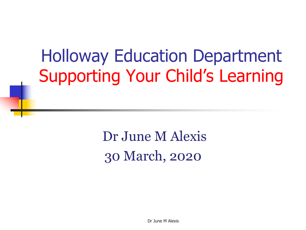#### Holloway Education Department Supporting Your Child's Learning

Dr June M Alexis 30 March, 2020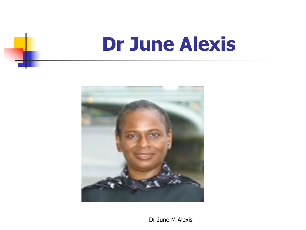### **Dr June Alexis**

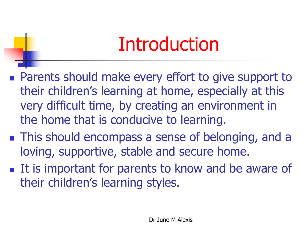### Introduction

- **n** Parents should make every effort to give support to their children's learning at home, especially at this very difficult time, by creating an environment in the home that is conducive to learning.
- **n** This should encompass a sense of belonging, and a loving, supportive, stable and secure home.
- It is important for parents to know and be aware of their children's learning styles.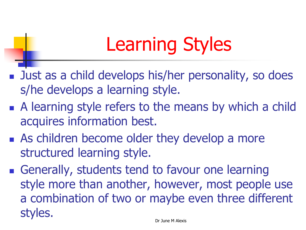# Learning Styles

- Just as a child develops his/her personality, so does s/he develops a learning style.
- $\blacksquare$  A learning style refers to the means by which a child acquires information best.
- **n** As children become older they develop a more structured learning style.
- **n** Generally, students tend to favour one learning style more than another, however, most people use a combination of two or maybe even three different styles.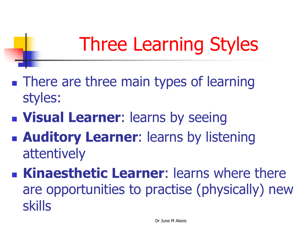# Three Learning Styles

- **n** There are three main types of learning styles:
- **n Visual Learner:** learns by seeing
- **n Auditory Learner:** learns by listening attentively
- **n Kinaesthetic Learner:** learns where there are opportunities to practise (physically) new skills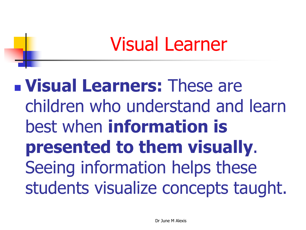#### Visual Learner

<sup>n</sup> **Visual Learners:** These are children who understand and learn best when **information is presented to them visually**. Seeing information helps these students visualize concepts taught.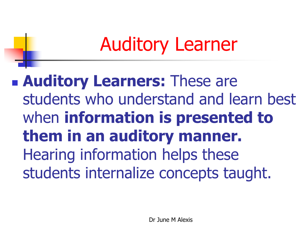# Auditory Learner

**n Auditory Learners: These are** students who understand and learn best when **information is presented to them in an auditory manner.**  Hearing information helps these students internalize concepts taught.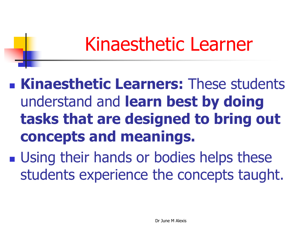#### Kinaesthetic Learner

<sup>n</sup> **Kinaesthetic Learners:** These students understand and **learn best by doing tasks that are designed to bring out concepts and meanings.** 

**u.** Using their hands or bodies helps these students experience the concepts taught.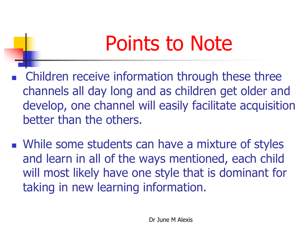# Points to Note

- Children receive information through these three channels all day long and as children get older and develop, one channel will easily facilitate acquisition better than the others.
- **Notainary 19 Some students can have a mixture of styles** and learn in all of the ways mentioned, each child will most likely have one style that is dominant for taking in new learning information.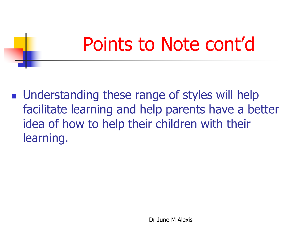### Points to Note cont'd

**n** Understanding these range of styles will help facilitate learning and help parents have a better idea of how to help their children with their learning.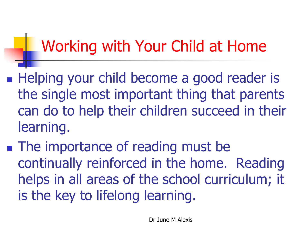#### Working with Your Child at Home

- **Helping your child become a good reader is** the single most important thing that parents can do to help their children succeed in their learning.
- **n** The importance of reading must be continually reinforced in the home. Reading helps in all areas of the school curriculum; it is the key to lifelong learning.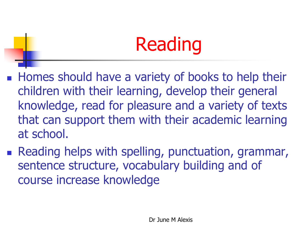# Reading

- **Homes should have a variety of books to help their** children with their learning, develop their general knowledge, read for pleasure and a variety of texts that can support them with their academic learning at school.
- **Reading helps with spelling, punctuation, grammar,** sentence structure, vocabulary building and of course increase knowledge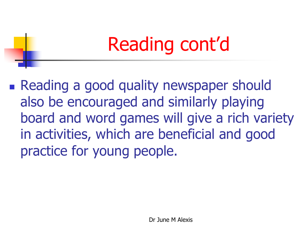# Reading cont'd

**Reading a good quality newspaper should** also be encouraged and similarly playing board and word games will give a rich variety in activities, which are beneficial and good practice for young people.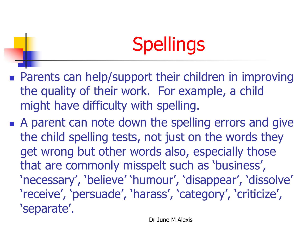# **Spellings**

- **n** Parents can help/support their children in improving the quality of their work. For example, a child might have difficulty with spelling.
- A parent can note down the spelling errors and give the child spelling tests, not just on the words they get wrong but other words also, especially those that are commonly misspelt such as 'business', 'necessary', 'believe' 'humour', 'disappear', 'dissolve' 'receive', 'persuade', 'harass', 'category', 'criticize', 'separate'.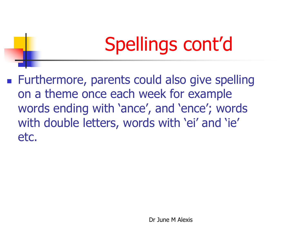# Spellings cont'd

■ Furthermore, parents could also give spelling on a theme once each week for example words ending with 'ance', and 'ence'; words with double letters, words with 'ei' and 'ie' etc.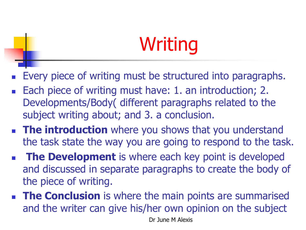# Writing

- Every piece of writing must be structured into paragraphs.
- Each piece of writing must have: 1. an introduction; 2. Developments/Body( different paragraphs related to the subject writing about; and 3. a conclusion.
- **n** The introduction where you shows that you understand the task state the way you are going to respond to the task.
- **n The Development** is where each key point is developed and discussed in separate paragraphs to create the body of the piece of writing.
- **n The Conclusion** is where the main points are summarised and the writer can give his/her own opinion on the subject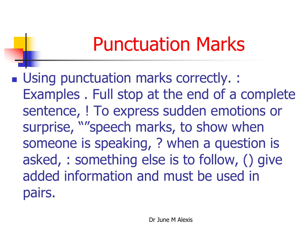### Punctuation Marks

■ Using punctuation marks correctly. : Examples . Full stop at the end of a complete sentence, ! To express sudden emotions or surprise, ""speech marks, to show when someone is speaking, ? when a question is asked, : something else is to follow, () give added information and must be used in pairs.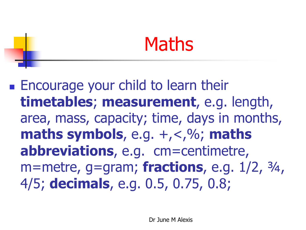#### Maths

**Encourage your child to learn their timetables**; **measurement**, e.g. length, area, mass, capacity; time, days in months, **maths symbols**, e.g.  $+$ ,  $<$ ,  $\%$ ; maths **abbreviations**, e.g. cm=centimetre, m=metre, g=gram; **fractions**, e.g. 1/2, ¾, 4/5; **decimals**, e.g. 0.5, 0.75, 0.8;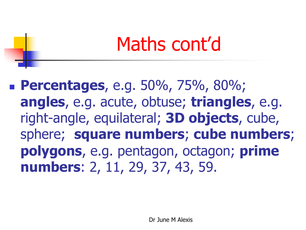### Maths cont'd

<sup>n</sup> **Percentages**, e.g. 50%, 75%, 80%; **angles**, e.g. acute, obtuse; **triangles**, e.g. right-angle, equilateral; **3D objects**, cube, sphere; **square numbers**; **cube numbers**; **polygons**, e.g. pentagon, octagon; **prime numbers**: 2, 11, 29, 37, 43, 59.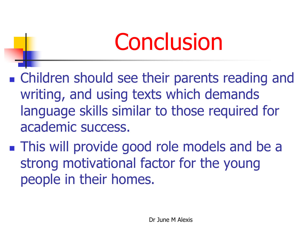# **Conclusion**

**n** Children should see their parents reading and writing, and using texts which demands language skills similar to those required for academic success.

**n** This will provide good role models and be a strong motivational factor for the young people in their homes.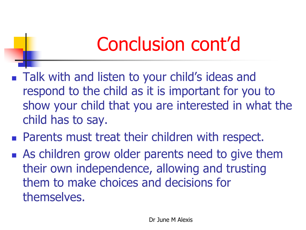# Conclusion cont'd

- Talk with and listen to your child's ideas and respond to the child as it is important for you to show your child that you are interested in what the child has to say.
- **Parents must treat their children with respect.**
- **n** As children grow older parents need to give them their own independence, allowing and trusting them to make choices and decisions for themselves.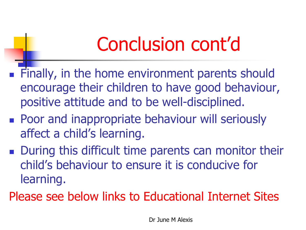# Conclusion cont'd

- **Finally, in the home environment parents should** encourage their children to have good behaviour, positive attitude and to be well-disciplined.
- **Poor and inappropriate behaviour will seriously** affect a child's learning.
- **n** During this difficult time parents can monitor their child's behaviour to ensure it is conducive for learning.
- Please see below links to Educational Internet Sites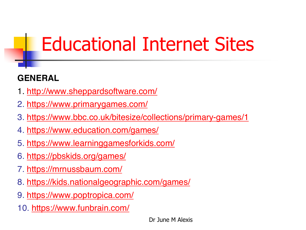# Educational Internet Sites

#### **GENERAL**

- 1. <http://www.sheppardsoftware.com/>
- 2. <https://www.primarygames.com/>
- 3. <https://www.bbc.co.uk/bitesize/collections/primary-games/1>
- 4. <https://www.education.com/games/>
- 5. <https://www.learninggamesforkids.com/>
- 6. <https://pbskids.org/games/>
- 7. <https://mrnussbaum.com/>
- 8. <https://kids.nationalgeographic.com/games/>
- 9. <https://www.poptropica.com/>
- 10. <https://www.funbrain.com/>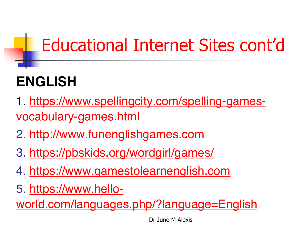#### Educational Internet Sites cont'd

#### **ENGLISH**

- 1. [https://www.spellingcity.com/spelling-games](https://www.spellingcity.com/spelling-games-vocabulary-games.html)vocabulary-games.html
- 2. [http://www.funenglishgames.com](http://www.funenglishgames.com/)
- 3. <https://pbskids.org/wordgirl/games/>
- 4. [https://www.gamestolearnenglish.com](https://www.gamestolearnenglish.com/)
- 5. https://www.hello-

[world.com/languages.php/?language=English](https://www.hello-world.com/languages.php/?language=English)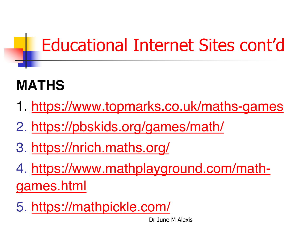#### Educational Internet Sites cont'd

#### **MATHS**

- 1. <https://www.topmarks.co.uk/maths-games>
- 2. <https://pbskids.org/games/math/>
- 3. <https://nrich.maths.org/>
- 4. [https://www.mathplayground.com/math](https://www.mathplayground.com/math-games.html)games.html
- 5. <https://mathpickle.com/>